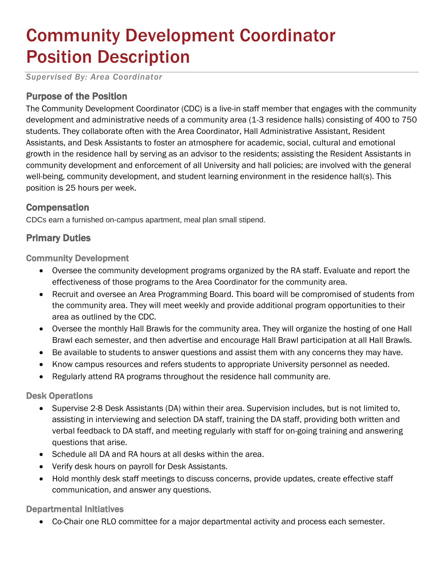# Community Development Coordinator Position Description

*Supervised By: Area Coordinator*

# Purpose of the Position

The Community Development Coordinator (CDC) is a live-in staff member that engages with the community development and administrative needs of a community area (1-3 residence halls) consisting of 400 to 750 students. They collaborate often with the Area Coordinator, Hall Administrative Assistant, Resident Assistants, and Desk Assistants to foster an atmosphere for academic, social, cultural and emotional growth in the residence hall by serving as an advisor to the residents; assisting the Resident Assistants in community development and enforcement of all University and hall policies; are involved with the general well-being, community development, and student learning environment in the residence hall(s). This position is 25 hours per week.

## **Compensation**

CDCs earn a furnished on-campus apartment, meal plan small stipend.

# Primary Duties

Community Development

- Oversee the community development programs organized by the RA staff. Evaluate and report the effectiveness of those programs to the Area Coordinator for the community area.
- Recruit and oversee an Area Programming Board. This board will be compromised of students from the community area. They will meet weekly and provide additional program opportunities to their area as outlined by the CDC.
- Oversee the monthly Hall Brawls for the community area. They will organize the hosting of one Hall Brawl each semester, and then advertise and encourage Hall Brawl participation at all Hall Brawls.
- Be available to students to answer questions and assist them with any concerns they may have.
- Know campus resources and refers students to appropriate University personnel as needed.
- Regularly attend RA programs throughout the residence hall community are.

#### Desk Operations

- Supervise 2-8 Desk Assistants (DA) within their area. Supervision includes, but is not limited to, assisting in interviewing and selection DA staff, training the DA staff, providing both written and verbal feedback to DA staff, and meeting regularly with staff for on-going training and answering questions that arise.
- Schedule all DA and RA hours at all desks within the area.
- Verify desk hours on payroll for Desk Assistants.
- Hold monthly desk staff meetings to discuss concerns, provide updates, create effective staff communication, and answer any questions.

#### Departmental Initiatives

Co-Chair one RLO committee for a major departmental activity and process each semester.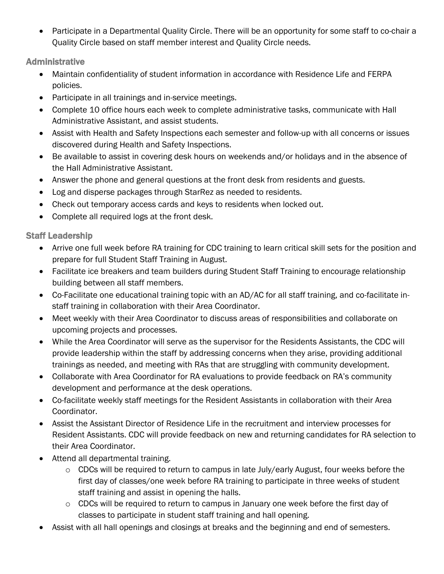Participate in a Departmental Quality Circle. There will be an opportunity for some staff to co-chair a Quality Circle based on staff member interest and Quality Circle needs.

Administrative

- Maintain confidentiality of student information in accordance with Residence Life and FERPA policies.
- Participate in all trainings and in-service meetings.
- Complete 10 office hours each week to complete administrative tasks, communicate with Hall Administrative Assistant, and assist students.
- Assist with Health and Safety Inspections each semester and follow-up with all concerns or issues discovered during Health and Safety Inspections.
- Be available to assist in covering desk hours on weekends and/or holidays and in the absence of the Hall Administrative Assistant.
- Answer the phone and general questions at the front desk from residents and guests.
- Log and disperse packages through StarRez as needed to residents.
- Check out temporary access cards and keys to residents when locked out.
- Complete all required logs at the front desk.

Staff Leadership

- Arrive one full week before RA training for CDC training to learn critical skill sets for the position and prepare for full Student Staff Training in August.
- Facilitate ice breakers and team builders during Student Staff Training to encourage relationship building between all staff members.
- Co-Facilitate one educational training topic with an AD/AC for all staff training, and co-facilitate instaff training in collaboration with their Area Coordinator.
- Meet weekly with their Area Coordinator to discuss areas of responsibilities and collaborate on upcoming projects and processes.
- While the Area Coordinator will serve as the supervisor for the Residents Assistants, the CDC will provide leadership within the staff by addressing concerns when they arise, providing additional trainings as needed, and meeting with RAs that are struggling with community development.
- Collaborate with Area Coordinator for RA evaluations to provide feedback on RA's community development and performance at the desk operations.
- Co-facilitate weekly staff meetings for the Resident Assistants in collaboration with their Area Coordinator.
- Assist the Assistant Director of Residence Life in the recruitment and interview processes for Resident Assistants. CDC will provide feedback on new and returning candidates for RA selection to their Area Coordinator.
- Attend all departmental training.
	- o CDCs will be required to return to campus in late July/early August, four weeks before the first day of classes/one week before RA training to participate in three weeks of student staff training and assist in opening the halls.
	- o CDCs will be required to return to campus in January one week before the first day of classes to participate in student staff training and hall opening.
- Assist with all hall openings and closings at breaks and the beginning and end of semesters.